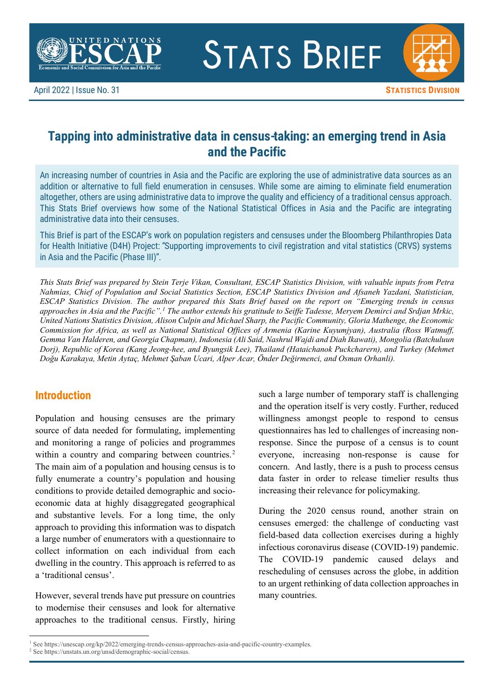

**STATS BRIEF**



# **Tapping into administrative data in census-taking: an emerging trend in Asia and the Pacific**

An increasing number of countries in Asia and the Pacific are exploring the use of administrative data sources as an addition or alternative to full field enumeration in censuses. While some are aiming to eliminate field enumeration altogether, others are using administrative data to improve the quality and efficiency of a traditional census approach. This Stats Brief overviews how some of the National Statistical Offices in Asia and the Pacific are integrating administrative data into their censuses.

This Brief is part of the ESCAP's work on population registers and censuses under the Bloomberg Philanthropies Data for Health Initiative (D4H) Project: "Supporting improvements to civil registration and vital statistics (CRVS) systems in Asia and the Pacific (Phase III)".

*This Stats Brief was prepared by Stein Terje Vikan, Consultant, ESCAP Statistics Division, with valuable inputs from Petra Nahmias, Chief of Population and Social Statistics Section, ESCAP Statistics Division and Afsaneh Yazdani, Statistician, ESCAP Statistics Division. The author prepared this Stats Brief based on the report on "Emerging trends in census approaches in Asia and the Pacific". [1](#page-0-0) The author extends his gratitude to Seiffe Tadesse, Meryem Demirci and Srdjan Mrkic, United Nations Statistics Division, Alison Culpin and Michael Sharp, the Pacific Community, Gloria Mathenge, the Economic Commission for Africa, as well as National Statistical Offices of Armenia (Karine Kuyumjyan), Australia (Ross Watmuff, Gemma Van Halderen, and Georgia Chapman), Indonesia (Ali Said, Nashrul Wajdi and Diah Ikawati), Mongolia (Batchuluun Dorj), Republic of Korea (Kang Jeong-hee, and Byungsik Lee), Thailand (Hataichanok Puckcharern), and Turkey (Mehmet Doğu Karakaya, Metin Aytaç, Mehmet Şaban Ucari, Alper Acar, Önder Değirmenci, and Osman Orhanli).*

#### **Introduction**

Population and housing censuses are the primary source of data needed for formulating, implementing and monitoring a range of policies and programmes within a country and comparing between countries.<sup>[2](#page-0-1)</sup> The main aim of a population and housing census is to fully enumerate a country's population and housing conditions to provide detailed demographic and socioeconomic data at highly disaggregated geographical and substantive levels. For a long time, the only approach to providing this information was to dispatch a large number of enumerators with a questionnaire to collect information on each individual from each dwelling in the country. This approach is referred to as a 'traditional census'.

However, several trends have put pressure on countries to modernise their censuses and look for alternative approaches to the traditional census. Firstly, hiring such a large number of temporary staff is challenging and the operation itself is very costly. Further, reduced willingness amongst people to respond to census questionnaires has led to challenges of increasing nonresponse. Since the purpose of a census is to count everyone, increasing non-response is cause for concern. And lastly, there is a push to process census data faster in order to release timelier results thus increasing their relevance for policymaking.

During the 2020 census round, another strain on censuses emerged: the challenge of conducting vast field-based data collection exercises during a highly infectious coronavirus disease (COVID-19) pandemic. The COVID-19 pandemic caused delays and rescheduling of censuses across the globe, in addition to an urgent rethinking of data collection approaches in many countries.

<span id="page-0-0"></span><sup>1</sup> Se[e https://unescap.org/kp/2022/emerging-trends-census-approaches-asia-and-pacific-country-examples.](https://unescap.org/kp/2022/emerging-trends-census-approaches-asia-and-pacific-country-examples)

<span id="page-0-1"></span><sup>2</sup> See https://unstats.un.org/unsd/demographic-social/census.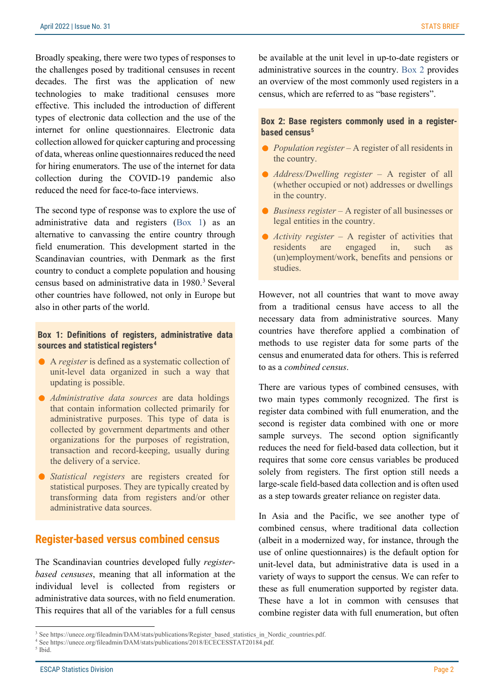Broadly speaking, there were two types of responses to the challenges posed by traditional censuses in recent decades. The first was the application of new technologies to make traditional censuses more effective. This included the introduction of different types of electronic data collection and the use of the internet for online questionnaires. Electronic data collection allowed for quicker capturing and processing of data, whereas online questionnaires reduced the need for hiring enumerators. The use of the internet for data collection during the COVID-19 pandemic also reduced the need for face-to-face interviews.

The second type of response was to explore the use of administrative data and registers [\(Box 1\)](#page-1-0) as an alternative to canvassing the entire country through field enumeration. This development started in the Scandinavian countries, with Denmark as the first country to conduct a complete population and housing census based on administrative data in 1980. [3](#page-1-2) Several other countries have followed, not only in Europe but also in other parts of the world.

#### <span id="page-1-0"></span>**Box 1: Definitions of registers, administrative data sources and statistical registers[4](#page-1-3)**

- A *register* is defined as a systematic collection of unit-level data organized in such a way that updating is possible.
- *Administrative data sources* are data holdings that contain information collected primarily for administrative purposes. This type of data is collected by government departments and other organizations for the purposes of registration, transaction and record-keeping, usually during the delivery of a service.
- *Statistical registers* are registers created for statistical purposes. They are typically created by transforming data from registers and/or other administrative data sources.

#### **Register-based versus combined census**

The Scandinavian countries developed fully *registerbased censuses*, meaning that all information at the individual level is collected from registers or administrative data sources, with no field enumeration. This requires that all of the variables for a full census be available at the unit level in up-to-date registers or administrative sources in the country. [Box 2](#page-1-1) provides an overview of the most commonly used registers in a census, which are referred to as "base registers".

#### <span id="page-1-1"></span>**Box 2: Base registers commonly used in a registerbased census[5](#page-1-4)**

- **P** Population register A register of all residents in the country.
- *Address/Dwelling register* A register of all (whether occupied or not) addresses or dwellings in the country.
- *Business register* A register of all businesses or legal entities in the country.
- *Activity register* A register of activities that residents are engaged in, such as (un)employment/work, benefits and pensions or studies.

However, not all countries that want to move away from a traditional census have access to all the necessary data from administrative sources. Many countries have therefore applied a combination of methods to use register data for some parts of the census and enumerated data for others. This is referred to as a *combined census*.

There are various types of combined censuses, with two main types commonly recognized. The first is register data combined with full enumeration, and the second is register data combined with one or more sample surveys. The second option significantly reduces the need for field-based data collection, but it requires that some core census variables be produced solely from registers. The first option still needs a large-scale field-based data collection and is often used as a step towards greater reliance on register data.

In Asia and the Pacific, we see another type of combined census, where traditional data collection (albeit in a modernized way, for instance, through the use of online questionnaires) is the default option for unit-level data, but administrative data is used in a variety of ways to support the census. We can refer to these as full enumeration supported by register data. These have a lot in common with censuses that combine register data with full enumeration, but often

<span id="page-1-2"></span><sup>&</sup>lt;sup>3</sup> See https://unece.org/fileadmin/DAM/stats/publications/Register\_based\_statistics\_in\_Nordic\_countries.pdf.

<span id="page-1-3"></span><sup>4</sup> See https://unece.org/fileadmin/DAM/stats/publications/2018/ECECESSTAT20184.pdf.

<span id="page-1-4"></span><sup>5</sup> Ibid.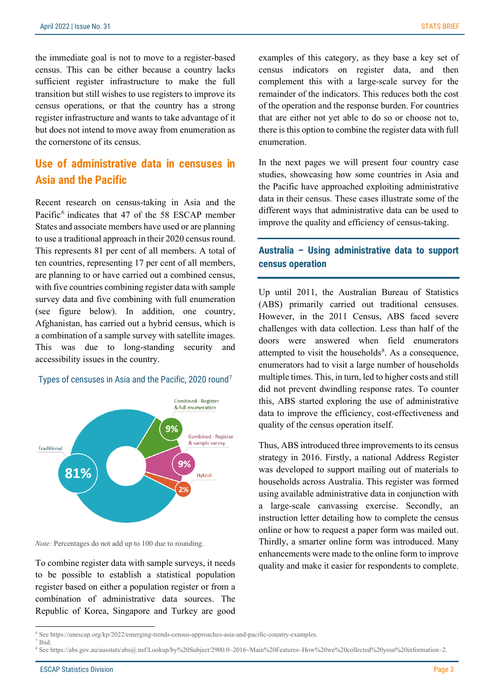the immediate goal is not to move to a register-based census. This can be either because a country lacks sufficient register infrastructure to make the full transition but still wishes to use registers to improve its census operations, or that the country has a strong register infrastructure and wants to take advantage of it but does not intend to move away from enumeration as the cornerstone of its census.

# **Use of administrative data in censuses in Asia and the Pacific**

Recent research on census-taking in Asia and the Pacific $<sup>6</sup>$  $<sup>6</sup>$  $<sup>6</sup>$  indicates that 47 of the 58 ESCAP member</sup> States and associate members have used or are planning to use a traditional approach in their 2020 census round. This represents 81 per cent of all members. A total of ten countries, representing 17 per cent of all members, are planning to or have carried out a combined census, with five countries combining register data with sample survey data and five combining with full enumeration (see figure below). In addition, one country, Afghanistan, has carried out a hybrid census, which is a combination of a sample survey with satellite images. This was due to long-standing security and accessibility issues in the country.

#### Types of censuses in Asia and the Pacific, 2020 round[7](#page-2-1)



*Note:* Percentages do not add up to 100 due to rounding.

To combine register data with sample surveys, it needs to be possible to establish a statistical population register based on either a population register or from a combination of administrative data sources. The Republic of Korea, Singapore and Turkey are good

examples of this category, as they base a key set of census indicators on register data, and then complement this with a large-scale survey for the remainder of the indicators. This reduces both the cost of the operation and the response burden. For countries that are either not yet able to do so or choose not to, there is this option to combine the register data with full enumeration.

In the next pages we will present four country case studies, showcasing how some countries in Asia and the Pacific have approached exploiting administrative data in their census. These cases illustrate some of the different ways that administrative data can be used to improve the quality and efficiency of census-taking.

### **Australia – Using administrative data to support census operation**

Up until 2011, the Australian Bureau of Statistics (ABS) primarily carried out traditional censuses. However, in the 2011 Census, ABS faced severe challenges with data collection. Less than half of the doors were answered when field enumerators attempted to visit the households $8$ . As a consequence, enumerators had to visit a large number of households multiple times. This, in turn, led to higher costs and still did not prevent dwindling response rates. To counter this, ABS started exploring the use of administrative data to improve the efficiency, cost-effectiveness and quality of the census operation itself.

Thus, ABS introduced three improvements to its census strategy in 2016. Firstly, a national Address Register was developed to support mailing out of materials to households across Australia. This register was formed using available administrative data in conjunction with a large-scale canvassing exercise. Secondly, an instruction letter detailing how to complete the census online or how to request a paper form was mailed out. Thirdly, a smarter online form was introduced. Many enhancements were made to the online form to improve quality and make it easier for respondents to complete.

<span id="page-2-2"></span> $8$  See https://abs.gov.au/ausstats/abs@.nsf/Lookup/by%20Subject/2900.0~2016~Main%20Features~How%20we%20collected%20your%20information~2.

<span id="page-2-1"></span><span id="page-2-0"></span> $^6$  See https://unescap.org/kp/2022/emerging-trends-census-approaches-asia-and-pacific-country-examples.<br><sup>7</sup> Ibid.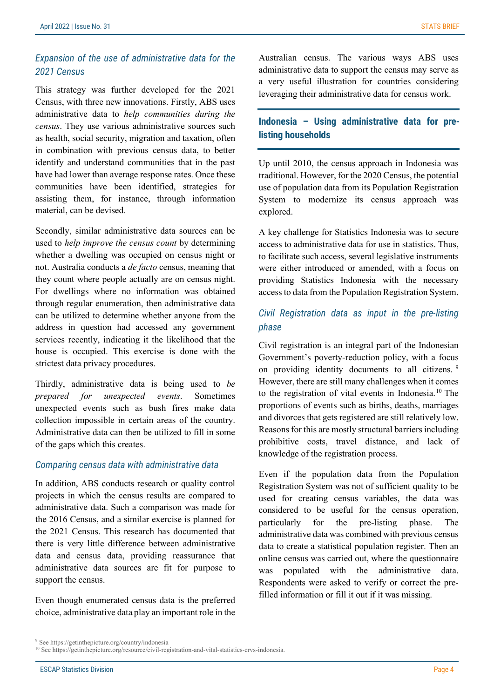### *Expansion of the use of administrative data for the 2021 Census*

This strategy was further developed for the 2021 Census, with three new innovations. Firstly, ABS uses administrative data to *help communities during the census*. They use various administrative sources such as health, social security, migration and taxation, often in combination with previous census data, to better identify and understand communities that in the past have had lower than average response rates. Once these communities have been identified, strategies for assisting them, for instance, through information material, can be devised.

Secondly, similar administrative data sources can be used to *help improve the census count* by determining whether a dwelling was occupied on census night or not. Australia conducts a *de facto* census, meaning that they count where people actually are on census night. For dwellings where no information was obtained through regular enumeration, then administrative data can be utilized to determine whether anyone from the address in question had accessed any government services recently, indicating it the likelihood that the house is occupied. This exercise is done with the strictest data privacy procedures.

Thirdly, administrative data is being used to *be prepared for unexpected events*. Sometimes unexpected events such as bush fires make data collection impossible in certain areas of the country. Administrative data can then be utilized to fill in some of the gaps which this creates.

#### *Comparing census data with administrative data*

In addition, ABS conducts research or quality control projects in which the census results are compared to administrative data. Such a comparison was made for the 2016 Census, and a similar exercise is planned for the 2021 Census. This research has documented that there is very little difference between administrative data and census data, providing reassurance that administrative data sources are fit for purpose to support the census.

Even though enumerated census data is the preferred choice, administrative data play an important role in the Australian census. The various ways ABS uses administrative data to support the census may serve as a very useful illustration for countries considering leveraging their administrative data for census work.

### **Indonesia – Using administrative data for prelisting households**

Up until 2010, the census approach in Indonesia was traditional. However, for the 2020 Census, the potential use of population data from its Population Registration System to modernize its census approach was explored.

A key challenge for Statistics Indonesia was to secure access to administrative data for use in statistics. Thus, to facilitate such access, several legislative instruments were either introduced or amended, with a focus on providing Statistics Indonesia with the necessary access to data from the Population Registration System.

### *Civil Registration data as input in the pre-listing phase*

Civil registration is an integral part of the Indonesian Government's poverty-reduction policy, with a focus on providing identity documents to all citizens.<sup>[9](#page-3-0)</sup> However, there are still many challenges when it comes to the registration of vital events in Indonesia. [10](#page-3-1) The proportions of events such as births, deaths, marriages and divorces that gets registered are still relatively low. Reasons for this are mostly structural barriers including prohibitive costs, travel distance, and lack of knowledge of the registration process.

Even if the population data from the Population Registration System was not of sufficient quality to be used for creating census variables, the data was considered to be useful for the census operation, particularly for the pre-listing phase. The administrative data was combined with previous census data to create a statistical population register. Then an online census was carried out, where the questionnaire was populated with the administrative data. Respondents were asked to verify or correct the prefilled information or fill it out if it was missing.

<span id="page-3-0"></span><sup>9</sup> See https://getinthepicture.org/country/indonesia

<span id="page-3-1"></span><sup>&</sup>lt;sup>10</sup> See https://getinthepicture.org/resource/civil-registration-and-vital-statistics-crvs-indonesia.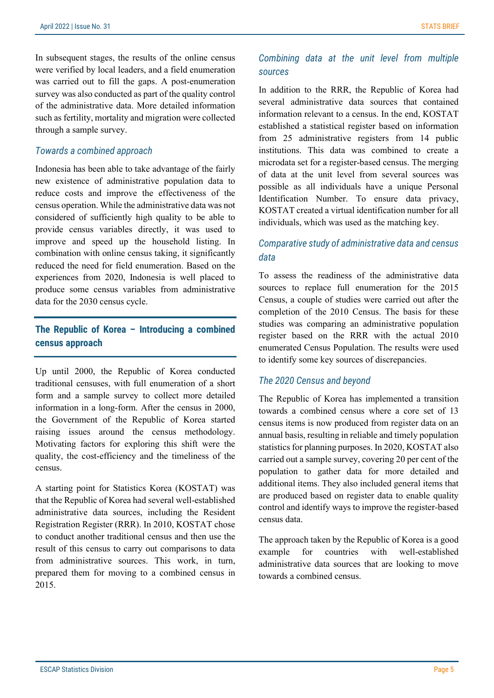In subsequent stages, the results of the online census were verified by local leaders, and a field enumeration was carried out to fill the gaps. A post-enumeration survey was also conducted as part of the quality control of the administrative data. More detailed information such as fertility, mortality and migration were collected through a sample survey.

#### *Towards a combined approach*

Indonesia has been able to take advantage of the fairly new existence of administrative population data to reduce costs and improve the effectiveness of the census operation. While the administrative data was not considered of sufficiently high quality to be able to provide census variables directly, it was used to improve and speed up the household listing. In combination with online census taking, it significantly reduced the need for field enumeration. Based on the experiences from 2020, Indonesia is well placed to produce some census variables from administrative data for the 2030 census cycle.

# **The Republic of Korea – Introducing a combined census approach**

Up until 2000, the Republic of Korea conducted traditional censuses, with full enumeration of a short form and a sample survey to collect more detailed information in a long-form. After the census in 2000, the Government of the Republic of Korea started raising issues around the census methodology. Motivating factors for exploring this shift were the quality, the cost-efficiency and the timeliness of the census.

A starting point for Statistics Korea (KOSTAT) was that the Republic of Korea had several well-established administrative data sources, including the Resident Registration Register (RRR). In 2010, KOSTAT chose to conduct another traditional census and then use the result of this census to carry out comparisons to data from administrative sources. This work, in turn, prepared them for moving to a combined census in 2015.

### *Combining data at the unit level from multiple sources*

In addition to the RRR, the Republic of Korea had several administrative data sources that contained information relevant to a census. In the end, KOSTAT established a statistical register based on information from 25 administrative registers from 14 public institutions. This data was combined to create a microdata set for a register-based census. The merging of data at the unit level from several sources was possible as all individuals have a unique Personal Identification Number. To ensure data privacy, KOSTAT created a virtual identification number for all individuals, which was used as the matching key.

# *Comparative study of administrative data and census data*

To assess the readiness of the administrative data sources to replace full enumeration for the 2015 Census, a couple of studies were carried out after the completion of the 2010 Census. The basis for these studies was comparing an administrative population register based on the RRR with the actual 2010 enumerated Census Population. The results were used to identify some key sources of discrepancies.

#### *The 2020 Census and beyond*

The Republic of Korea has implemented a transition towards a combined census where a core set of 13 census items is now produced from register data on an annual basis, resulting in reliable and timely population statistics for planning purposes. In 2020, KOSTAT also carried out a sample survey, covering 20 per cent of the population to gather data for more detailed and additional items. They also included general items that are produced based on register data to enable quality control and identify ways to improve the register-based census data.

The approach taken by the Republic of Korea is a good example for countries with well-established administrative data sources that are looking to move towards a combined census.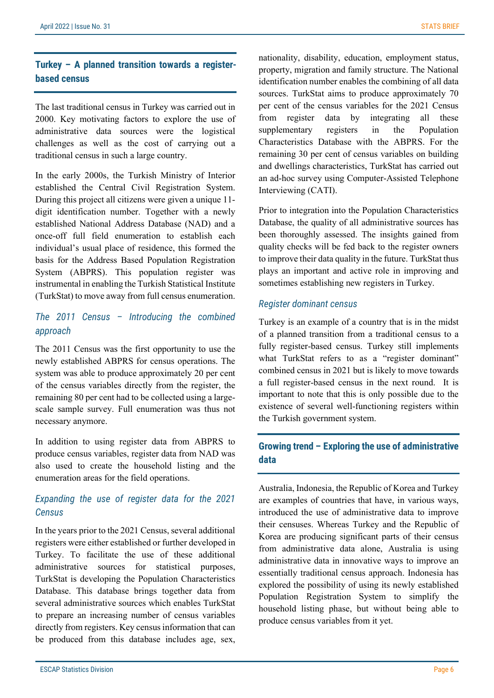# **Turkey – A planned transition towards a registerbased census**

The last traditional census in Turkey was carried out in 2000. Key motivating factors to explore the use of administrative data sources were the logistical challenges as well as the cost of carrying out a traditional census in such a large country.

In the early 2000s, the Turkish Ministry of Interior established the Central Civil Registration System. During this project all citizens were given a unique 11 digit identification number. Together with a newly established National Address Database (NAD) and a once-off full field enumeration to establish each individual's usual place of residence, this formed the basis for the Address Based Population Registration System (ABPRS). This population register was instrumental in enabling the Turkish Statistical Institute (TurkStat) to move away from full census enumeration.

# *The 2011 Census – Introducing the combined approach*

The 2011 Census was the first opportunity to use the newly established ABPRS for census operations. The system was able to produce approximately 20 per cent of the census variables directly from the register, the remaining 80 per cent had to be collected using a largescale sample survey. Full enumeration was thus not necessary anymore.

In addition to using register data from ABPRS to produce census variables, register data from NAD was also used to create the household listing and the enumeration areas for the field operations.

### *Expanding the use of register data for the 2021 Census*

In the years prior to the 2021 Census, several additional registers were either established or further developed in Turkey. To facilitate the use of these additional administrative sources for statistical purposes, TurkStat is developing the Population Characteristics Database. This database brings together data from several administrative sources which enables TurkStat to prepare an increasing number of census variables directly from registers. Key census information that can be produced from this database includes age, sex, nationality, disability, education, employment status, property, migration and family structure. The National identification number enables the combining of all data sources. TurkStat aims to produce approximately 70 per cent of the census variables for the 2021 Census from register data by integrating all these supplementary registers in the Population Characteristics Database with the ABPRS. For the remaining 30 per cent of census variables on building and dwellings characteristics, TurkStat has carried out an ad-hoc survey using Computer-Assisted Telephone Interviewing (CATI).

Prior to integration into the Population Characteristics Database, the quality of all administrative sources has been thoroughly assessed. The insights gained from quality checks will be fed back to the register owners to improve their data quality in the future. TurkStat thus plays an important and active role in improving and sometimes establishing new registers in Turkey.

#### *Register dominant census*

Turkey is an example of a country that is in the midst of a planned transition from a traditional census to a fully register-based census. Turkey still implements what TurkStat refers to as a "register dominant" combined census in 2021 but is likely to move towards a full register-based census in the next round. It is important to note that this is only possible due to the existence of several well-functioning registers within the Turkish government system.

# **Growing trend – Exploring the use of administrative data**

Australia, Indonesia, the Republic of Korea and Turkey are examples of countries that have, in various ways, introduced the use of administrative data to improve their censuses. Whereas Turkey and the Republic of Korea are producing significant parts of their census from administrative data alone, Australia is using administrative data in innovative ways to improve an essentially traditional census approach. Indonesia has explored the possibility of using its newly established Population Registration System to simplify the household listing phase, but without being able to produce census variables from it yet.